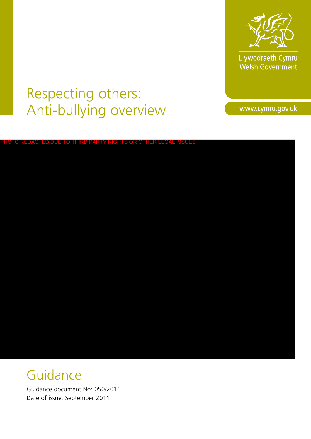

Llywodraeth Cymru<br>Welsh Government

# Respecting others: Anti-bullying overview

www.cymru.gov.uk

# PHOTO REDACTED DUE TO THIRD PARTY RIGHTS OR OTHER LEGAL ISSUES

# **Guidance**

Guidance document No: 050/2011 Date of issue: September 2011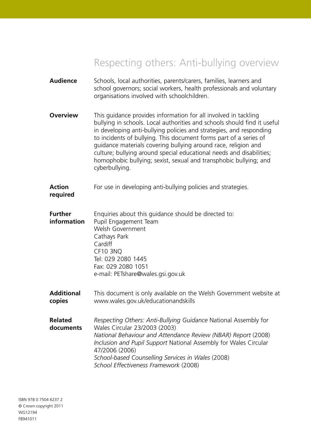# Respecting others: Anti-bullying overview

| <b>Audience</b>               | Schools, local authorities, parents/carers, families, learners and<br>school governors; social workers, health professionals and voluntary<br>organisations involved with schoolchildren.                                                                                                                                                                                                                                                                                                                                |
|-------------------------------|--------------------------------------------------------------------------------------------------------------------------------------------------------------------------------------------------------------------------------------------------------------------------------------------------------------------------------------------------------------------------------------------------------------------------------------------------------------------------------------------------------------------------|
| <b>Overview</b>               | This guidance provides information for all involved in tackling<br>bullying in schools. Local authorities and schools should find it useful<br>in developing anti-bullying policies and strategies, and responding<br>to incidents of bullying. This document forms part of a series of<br>guidance materials covering bullying around race, religion and<br>culture; bullying around special educational needs and disabilities;<br>homophobic bullying; sexist, sexual and transphobic bullying; and<br>cyberbullying. |
| <b>Action</b><br>required     | For use in developing anti-bullying policies and strategies.                                                                                                                                                                                                                                                                                                                                                                                                                                                             |
| <b>Further</b><br>information | Enquiries about this guidance should be directed to:<br>Pupil Engagement Team<br>Welsh Government<br>Cathays Park<br>Cardiff<br><b>CF10 3NQ</b><br>Tel: 029 2080 1445<br>Fax: 029 2080 1051<br>e-mail: PETshare@wales.gsi.gov.uk                                                                                                                                                                                                                                                                                         |
| <b>Additional</b><br>copies   | This document is only available on the Welsh Government website at<br>www.wales.gov.uk/educationandskills                                                                                                                                                                                                                                                                                                                                                                                                                |
| <b>Related</b><br>documents   | Respecting Others: Anti-Bullying Guidance National Assembly for<br>Wales Circular 23/2003 (2003)<br>National Behaviour and Attendance Review (NBAR) Report (2008)<br>Inclusion and Pupil Support National Assembly for Wales Circular<br>47/2006 (2006)<br>School-based Counselling Services in Wales (2008)<br>School Effectiveness Framework (2008)                                                                                                                                                                    |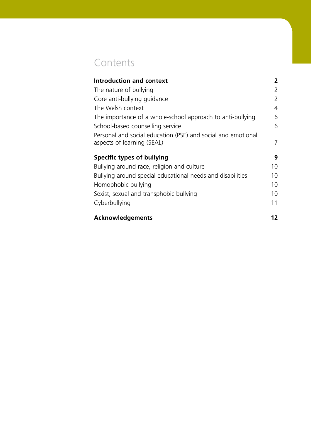# **Contents**

| <b>Introduction and context</b>                                                            | 2              |
|--------------------------------------------------------------------------------------------|----------------|
| The nature of bullying                                                                     | 2              |
| Core anti-bullying guidance                                                                | 2              |
| The Welsh context                                                                          | $\overline{4}$ |
| The importance of a whole-school approach to anti-bullying                                 | 6              |
| School-based counselling service                                                           | 6              |
| Personal and social education (PSE) and social and emotional<br>aspects of learning (SEAL) | 7              |
|                                                                                            |                |
| Specific types of bullying                                                                 | 9              |
| Bullying around race, religion and culture                                                 | 10             |
| Bullying around special educational needs and disabilities                                 | 10             |
| Homophobic bullying                                                                        | 10             |
| Sexist, sexual and transphobic bullying                                                    | 10             |
| Cyberbullying                                                                              | 11             |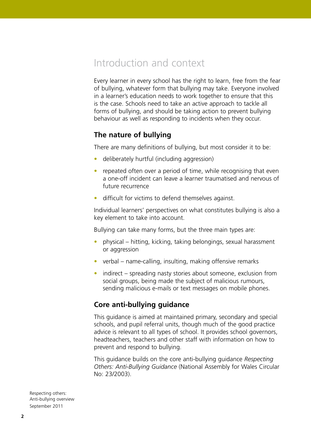## Introduction and context

Every learner in every school has the right to learn, free from the fear of bullying, whatever form that bullying may take. Everyone involved in a learner's education needs to work together to ensure that this is the case. Schools need to take an active approach to tackle all forms of bullying, and should be taking action to prevent bullying behaviour as well as responding to incidents when they occur.

### **The nature of bullying**

There are many definitions of bullying, but most consider it to be:

- deliberately hurtful (including aggression)
- repeated often over a period of time, while recognising that even a one-off incident can leave a learner traumatised and nervous of future recurrence
- difficult for victims to defend themselves against.

Individual learners' perspectives on what constitutes bullying is also a key element to take into account.

Bullying can take many forms, but the three main types are:

- physical hitting, kicking, taking belongings, sexual harassment or aggression
- verbal name-calling, insulting, making offensive remarks
- indirect spreading nasty stories about someone, exclusion from social groups, being made the subject of malicious rumours, sending malicious e-mails or text messages on mobile phones.

### **Core anti-bullying guidance**

This guidance is aimed at maintained primary, secondary and special schools, and pupil referral units, though much of the good practice advice is relevant to all types of school. It provides school governors, headteachers, teachers and other staff with information on how to prevent and respond to bullying.

This guidance builds on the core anti-bullying guidance *Respecting Others: Anti-Bullying Guidance* (National Assembly for Wales Circular No: 23/2003).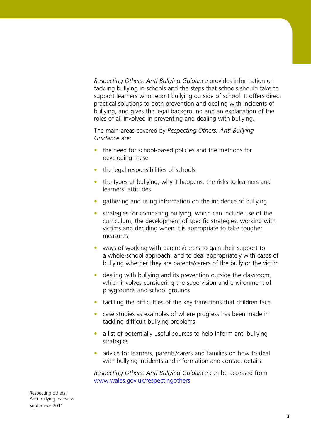*Respecting Others: Anti-Bullying Guidance* provides information on tackling bullying in schools and the steps that schools should take to support learners who report bullying outside of school. It offers direct practical solutions to both prevention and dealing with incidents of bullying, and gives the legal background and an explanation of the roles of all involved in preventing and dealing with bullying.

The main areas covered by *Respecting Others: Anti-Bullying Guidance* are:

- the need for school-based policies and the methods for developing these
- the legal responsibilities of schools
- the types of bullying, why it happens, the risks to learners and learners' attitudes
- gathering and using information on the incidence of bullying
- strategies for combating bullying, which can include use of the curriculum, the development of specific strategies, working with victims and deciding when it is appropriate to take tougher measures
- ways of working with parents/carers to gain their support to a whole-school approach, and to deal appropriately with cases of bullying whether they are parents/carers of the bully or the victim
- dealing with bullying and its prevention outside the classroom, which involves considering the supervision and environment of playgrounds and school grounds
- tackling the difficulties of the key transitions that children face
- case studies as examples of where progress has been made in tackling difficult bullying problems
- a list of potentially useful sources to help inform anti-bullying strategies
- advice for learners, parents/carers and families on how to deal with bullying incidents and information and contact details.

*Respecting Others: Anti-Bullying Guidance* can be accessed from www.wales.gov.uk/respectingothers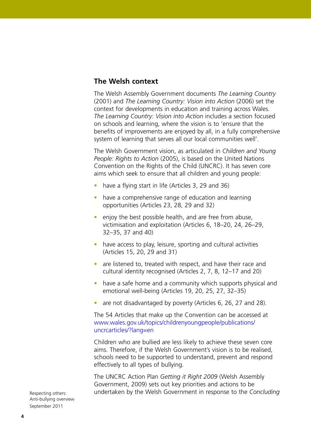### **The Welsh context**

The Welsh Assembly Government documents *The Learning Country*  (2001) and *The Learning Country: Vision into Action* (2006) set the context for developments in education and training across Wales. *The Learning Country: Vision into Action* includes a section focused on schools and learning, where the vision is to 'ensure that the benefits of improvements are enjoyed by all, in a fully comprehensive system of learning that serves all our local communities well'.

The Welsh Government vision, as articulated in *Children and Young People: Rights to Action* (2005), is based on the United Nations Convention on the Rights of the Child (UNCRC). It has seven core aims which seek to ensure that all children and young people:

- have a flying start in life (Articles 3, 29 and 36)
- have a comprehensive range of education and learning opportunities (Articles 23, 28, 29 and 32)
- enjoy the best possible health, and are free from abuse, victimisation and exploitation (Articles 6, 18–20, 24, 26–29, 32–35, 37 and 40)
- have access to play, leisure, sporting and cultural activities (Articles 15, 20, 29 and 31)
- are listened to, treated with respect, and have their race and cultural identity recognised (Articles 2, 7, 8, 12–17 and 20)
- have a safe home and a community which supports physical and emotional well-being (Articles 19, 20, 25, 27, 32–35)
- are not disadvantaged by poverty (Articles 6, 26, 27 and 28).

The 54 Articles that make up the Convention can be accessed at [www.wales.gov.uk/topics/childrenyoungpeople/publications/](www.wales.gov.uk/topics/childrenyoungpeople/publications/uncrcarticles/?lang=en) uncrcarticles/?lang=en

Children who are bullied are less likely to achieve these seven core aims. Therefore, if the Welsh Government's vision is to be realised, schools need to be supported to understand, prevent and respond effectively to all types of bullying.

The UNCRC Action Plan *Getting it Right 2009* (Welsh Assembly Government, 2009) sets out key priorities and actions to be undertaken by the Welsh Government in response to the *Concluding*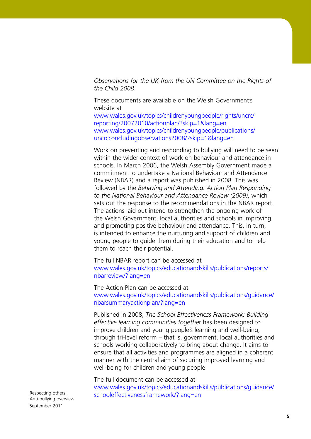*Observations for the UK from the UN Committee on the Rights of the Child 2008*.

These documents are available on the Welsh Government's website at

[www.wales.gov.uk/topics/childrenyoungpeople/rights/uncrc/](www.wales.gov.uk/topics/childrenyoungpeople/rights/uncrc/reporting/20072010/actionplan/?skip=1&lang=en) reporting/20072010/actionplan/?skip=1&lang=en [www.wales.gov.uk/topics/childrenyoungpeople/publications/](www.wales.gov.uk/topics/childrenyoungpeople/publications/uncrcconcludingobservations2008/?skip=1&lang=en)  uncrcconcludingobservations2008/?skip=1&lang=en

Work on preventing and responding to bullying will need to be seen within the wider context of work on behaviour and attendance in schools. In March 2006, the Welsh Assembly Government made a commitment to undertake a National Behaviour and Attendance Review (NBAR) and a report was published in 2008. This was followed by the *Behaving and Attending: Action Plan Responding to the National Behaviour and Attendance Review (2009)*, which sets out the response to the recommendations in the NBAR report. The actions laid out intend to strengthen the ongoing work of the Welsh Government, local authorities and schools in improving and promoting positive behaviour and attendance. This, in turn, is intended to enhance the nurturing and support of children and young people to guide them during their education and to help them to reach their potential.

The full NBAR report can be accessed at [www.wales.gov.uk/topics/educationandskills/publications/reports/](www.wales.gov.uk/topics/educationandskills/publications/reports/nbarreview/?lang=en) nbarreview/?lang=en

The Action Plan can be accessed at [www.wales.gov.uk/topics/educationandskills/publications/guidance/](www.wales.gov.uk/topics/educationandskills/publications/guidance/nbarsummaryactionplan/?lang=en) nbarsummaryactionplan/?lang=en

Published in 2008, *The School Effectiveness Framework: Building effective learning communities togethe*r has been designed to improve children and young people's learning and well-being, through tri-level reform – that is, government, local authorities and schools working collaboratively to bring about change. It aims to ensure that all activities and programmes are aligned in a coherent manner with the central aim of securing improved learning and well-being for children and young people.

The full document can be accessed at [www.wales.gov.uk/topics/educationandskills/publications/guidance/](www.wales.gov.uk/topics/educationandskills/publications/guidance/schooleffectivenessframework/?lang=en) schooleffectivenessframework/?lang=en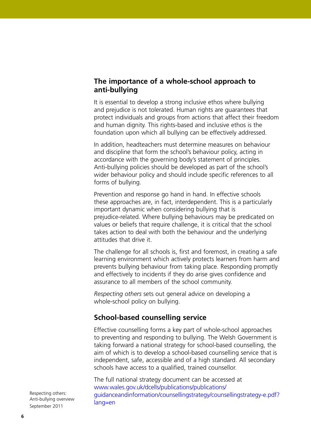### **The importance of a whole-school approach to anti-bullying**

It is essential to develop a strong inclusive ethos where bullying and prejudice is not tolerated. Human rights are guarantees that protect individuals and groups from actions that affect their freedom and human dignity. This rights-based and inclusive ethos is the foundation upon which all bullying can be effectively addressed.

In addition, headteachers must determine measures on behaviour and discipline that form the school's behaviour policy, acting in accordance with the governing body's statement of principles. Anti-bullying policies should be developed as part of the school's wider behaviour policy and should include specific references to all forms of bullying.

Prevention and response go hand in hand. In effective schools these approaches are, in fact, interdependent. This is a particularly important dynamic when considering bullying that is prejudice-related. Where bullying behaviours may be predicated on values or beliefs that require challenge, it is critical that the school takes action to deal with both the behaviour and the underlying attitudes that drive it.

The challenge for all schools is, first and foremost, in creating a safe learning environment which actively protects learners from harm and prevents bullying behaviour from taking place. Responding promptly and effectively to incidents if they do arise gives confidence and assurance to all members of the school community.

*Respecting others* sets out general advice on developing a whole-school policy on bullying.

### **School-based counselling service**

Effective counselling forms a key part of whole-school approaches to preventing and responding to bullying. The Welsh Government is taking forward a national strategy for school-based counselling, the aim of which is to develop a school-based counselling service that is independent, safe, accessible and of a high standard. All secondary schools have access to a qualified, trained counsellor.

The full national strategy document can be accessed at www.wales.gov.uk/dcells/publications/publications/ [guidanceandinformation/counsellingstrategy/counsellingstrategy-e.pdf?](www.wales.gov.uk/dcells/publications/publications/guidanceandinformation/counsellingstrategy/counsellingstrategy-e.pdf?lang=en) lang=en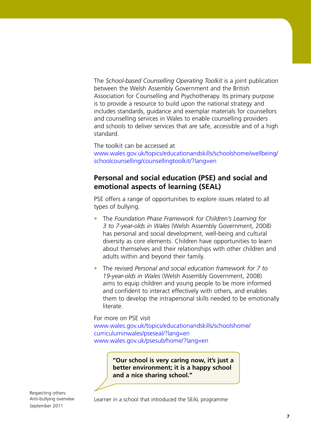The *School-based Counselling Operating Toolkit* is a joint publication between the Welsh Assembly Government and the British Association for Counselling and Psychotherapy. Its primary purpose is to provide a resource to build upon the national strategy and includes standards, guidance and exemplar materials for counsellors and counselling services in Wales to enable counselling providers and schools to deliver services that are safe, accessible and of a high standard.

The toolkit can be accessed at [www.wales.gov.uk/topics/educationandskills/schoolshome/wellbeing/](www.wales.gov.uk/topics/educationandskills/schoolshome/wellbeing/schoolcounselling/counsellingtoolkit/?lang=en) schoolcounselling/counsellingtoolkit/?lang=en

### **Personal and social education (PSE) and social and emotional aspects of learning (SEAL)**

PSE offers a range of opportunities to explore issues related to all types of bullying.

- The *Foundation Phase Framework for Children's Learning for 3 to 7-year-olds in Wales* (Welsh Assembly Government, 2008) has personal and social development, well-being and cultural diversity as core elements. Children have opportunities to learn about themselves and their relationships with other children and adults within and beyond their family.
- The revised *Personal and social education framework for 7 to 19-year-olds in Wales* (Welsh Assembly Government, 2008) aims to equip children and young people to be more informed and confident to interact effectively with others, and enables them to develop the intrapersonal skills needed to be emotionally literate.

For more on PSE visit [www.wales.gov.uk/topics/educationandskills/schoolshome/](www.wales.gov.uk/topics/educationandskills/schoolshome/curriculuminwales/pseseal/?lang=en) curriculuminwales/pseseal/?lang=en www.wales.gov.uk/psesub/home/?lang=en

> **"Our school is very caring now, it's just a better environment; it is a happy school and a nice sharing school."**

Respecting others: Anti-bullying overview September 2011

Learner in a school that introduced the SEAL programme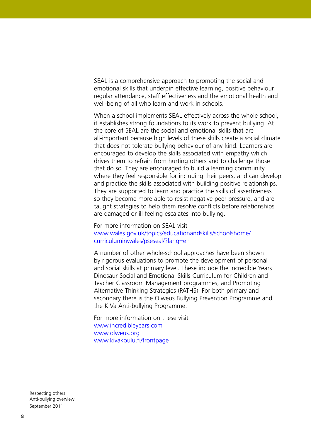SEAL is a comprehensive approach to promoting the social and emotional skills that underpin effective learning, positive behaviour, regular attendance, staff effectiveness and the emotional health and well-being of all who learn and work in schools.

When a school implements SEAL effectively across the whole school, it establishes strong foundations to its work to prevent bullying. At the core of SEAL are the social and emotional skills that are all-important because high levels of these skills create a social climate that does not tolerate bullying behaviour of any kind. Learners are encouraged to develop the skills associated with empathy which drives them to refrain from hurting others and to challenge those that do so. They are encouraged to build a learning community where they feel responsible for including their peers, and can develop and practice the skills associated with building positive relationships. They are supported to learn and practice the skills of assertiveness so they become more able to resist negative peer pressure, and are taught strategies to help them resolve conflicts before relationships are damaged or ill feeling escalates into bullying.

For more information on SEAL visit [www.wales.gov.uk/topics/educationandskills/schoolshome/](www.wales.gov.uk/topics/educationandskills/schoolshome/curriculuminwales/pseseal/?lang=en) curriculuminwales/pseseal/?lang=en

A number of other whole-school approaches have been shown by rigorous evaluations to promote the development of personal and social skills at primary level. These include the Incredible Years Dinosaur Social and Emotional Skills Curriculum for Children and Teacher Classroom Management programmes, and Promoting Alternative Thinking Strategies (PATHS). For both primary and secondary there is the Olweus Bullying Prevention Programme and the KiVa Anti-bullying Programme.

For more information on these visit www.incredibleyears.com www.olweus.org www.kivakoulu.fi/frontpage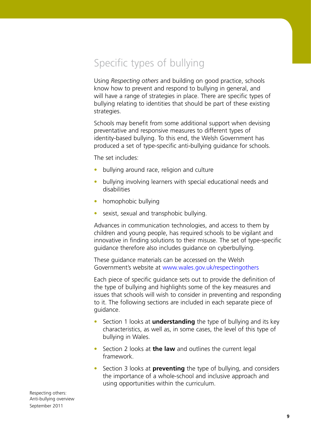Specific types of bullying

Using *Respecting others* and building on good practice, schools know how to prevent and respond to bullying in general, and will have a range of strategies in place. There are specific types of bullying relating to identities that should be part of these existing strategies.

Schools may benefit from some additional support when devising preventative and responsive measures to different types of identity-based bullying. To this end, the Welsh Government has produced a set of type-specific anti-bullying guidance for schools.

The set includes:

- bullying around race, religion and culture
- bullying involving learners with special educational needs and disabilities
- homophobic bullying
- sexist, sexual and transphobic bullying.

Advances in communication technologies, and access to them by children and young people, has required schools to be vigilant and innovative in finding solutions to their misuse. The set of type-specific guidance therefore also includes guidance on cyberbullying.

These guidance materials can be accessed on the Welsh Government's website at www.wales.gov.uk/respectingothers

Each piece of specific guidance sets out to provide the definition of the type of bullying and highlights some of the key measures and issues that schools will wish to consider in preventing and responding to it. The following sections are included in each separate piece of guidance.

- Section 1 looks at **understanding** the type of bullying and its key characteristics, as well as, in some cases, the level of this type of bullying in Wales.
- Section 2 looks at **the law** and outlines the current legal framework.
- Section 3 looks at **preventing** the type of bullying, and considers the importance of a whole-school and inclusive approach and using opportunities within the curriculum.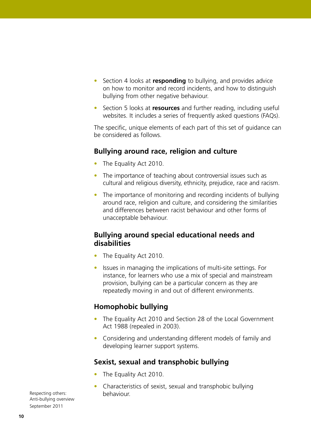- Section 4 looks at **responding** to bullying, and provides advice on how to monitor and record incidents, and how to distinguish bullying from other negative behaviour.
- Section 5 looks at **resources** and further reading, including useful websites. It includes a series of frequently asked questions (FAQs).

The specific, unique elements of each part of this set of guidance can be considered as follows.

### **Bullying around race, religion and culture**

- The Equality Act 2010.
- The importance of teaching about controversial issues such as cultural and religious diversity, ethnicity, prejudice, race and racism.
- The importance of monitoring and recording incidents of bullying around race, religion and culture, and considering the similarities and differences between racist behaviour and other forms of unacceptable behaviour.

### **Bullying around special educational needs and disabilities**

- The Equality Act 2010.
- Issues in managing the implications of multi-site settings. For instance, for learners who use a mix of special and mainstream provision, bullying can be a particular concern as they are repeatedly moving in and out of different environments.

### **Homophobic bullying**

- The Equality Act 2010 and Section 28 of the Local Government Act 1988 (repealed in 2003).
- Considering and understanding different models of family and developing learner support systems.

### **Sexist, sexual and transphobic bullying**

- The Equality Act 2010.
- Characteristics of sexist, sexual and transphobic bullying behaviour.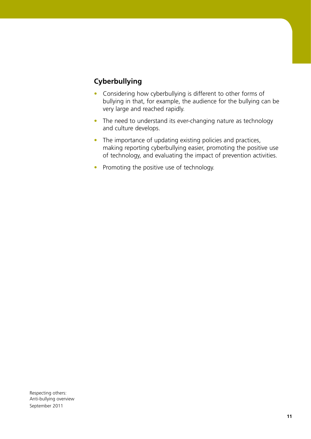### **Cyberbullying**

- Considering how cyberbullying is different to other forms of bullying in that, for example, the audience for the bullying can be very large and reached rapidly.
- The need to understand its ever-changing nature as technology and culture develops.
- The importance of updating existing policies and practices, making reporting cyberbullying easier, promoting the positive use of technology, and evaluating the impact of prevention activities.
- Promoting the positive use of technology.